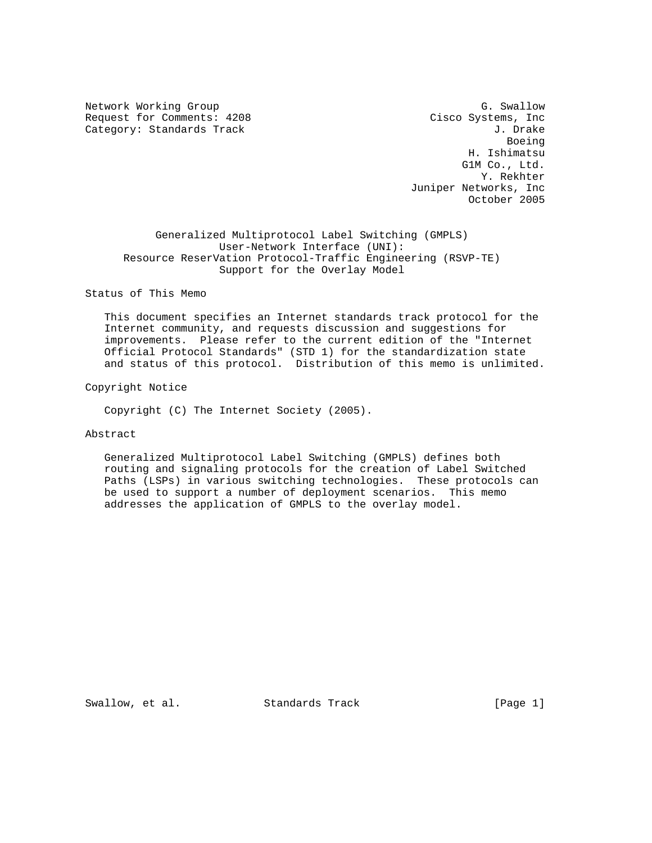Network Working Group G. Swallow G. Swallow Request for Comments: 4208 Cisco Systems, Inc Category: Standards Track Gategory: Standards Track J. Drake

en de la construction de la construction de la construction de la construction de la construction de la construction de la construction de la construction de la construction de la construction de la construction de la cons H. Ishimatsu G1M Co., Ltd. Y. Rekhter Juniper Networks, Inc October 2005

 Generalized Multiprotocol Label Switching (GMPLS) User-Network Interface (UNI): Resource ReserVation Protocol-Traffic Engineering (RSVP-TE) Support for the Overlay Model

## Status of This Memo

 This document specifies an Internet standards track protocol for the Internet community, and requests discussion and suggestions for improvements. Please refer to the current edition of the "Internet Official Protocol Standards" (STD 1) for the standardization state and status of this protocol. Distribution of this memo is unlimited.

#### Copyright Notice

Copyright (C) The Internet Society (2005).

## Abstract

 Generalized Multiprotocol Label Switching (GMPLS) defines both routing and signaling protocols for the creation of Label Switched Paths (LSPs) in various switching technologies. These protocols can be used to support a number of deployment scenarios. This memo addresses the application of GMPLS to the overlay model.

Swallow, et al. Standards Track [Page 1]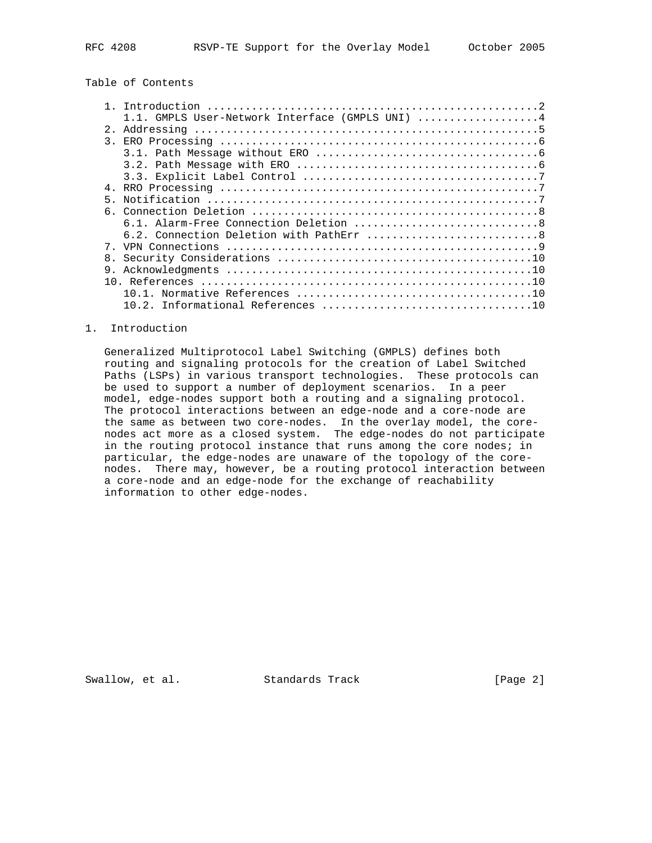# Table of Contents

|                | 1.1. GMPLS User-Network Interface (GMPLS UNI) 4 |
|----------------|-------------------------------------------------|
| 2 <sub>1</sub> |                                                 |
|                |                                                 |
|                |                                                 |
|                |                                                 |
|                |                                                 |
|                |                                                 |
| 5.             |                                                 |
|                |                                                 |
|                |                                                 |
|                |                                                 |
|                |                                                 |
| 8.             |                                                 |
|                |                                                 |
|                |                                                 |
|                | 10 1                                            |
|                |                                                 |

#### 1. Introduction

 Generalized Multiprotocol Label Switching (GMPLS) defines both routing and signaling protocols for the creation of Label Switched Paths (LSPs) in various transport technologies. These protocols can be used to support a number of deployment scenarios. In a peer model, edge-nodes support both a routing and a signaling protocol. The protocol interactions between an edge-node and a core-node are the same as between two core-nodes. In the overlay model, the core nodes act more as a closed system. The edge-nodes do not participate in the routing protocol instance that runs among the core nodes; in particular, the edge-nodes are unaware of the topology of the core nodes. There may, however, be a routing protocol interaction between a core-node and an edge-node for the exchange of reachability information to other edge-nodes.

Swallow, et al. Standards Track [Page 2]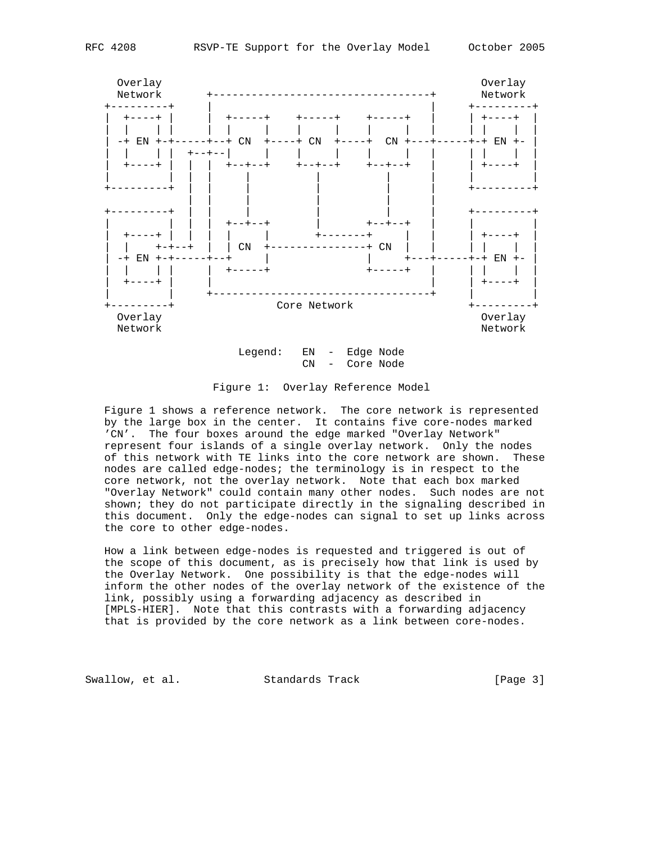

CN - Core Node

 Figure 1 shows a reference network. The core network is represented by the large box in the center. It contains five core-nodes marked 'CN'. The four boxes around the edge marked "Overlay Network" represent four islands of a single overlay network. Only the nodes of this network with TE links into the core network are shown. These nodes are called edge-nodes; the terminology is in respect to the core network, not the overlay network. Note that each box marked "Overlay Network" could contain many other nodes. Such nodes are not shown; they do not participate directly in the signaling described in this document. Only the edge-nodes can signal to set up links across the core to other edge-nodes.

 How a link between edge-nodes is requested and triggered is out of the scope of this document, as is precisely how that link is used by the Overlay Network. One possibility is that the edge-nodes will inform the other nodes of the overlay network of the existence of the link, possibly using a forwarding adjacency as described in [MPLS-HIER]. Note that this contrasts with a forwarding adjacency that is provided by the core network as a link between core-nodes.

Swallow, et al. Standards Track [Page 3]

Figure 1: Overlay Reference Model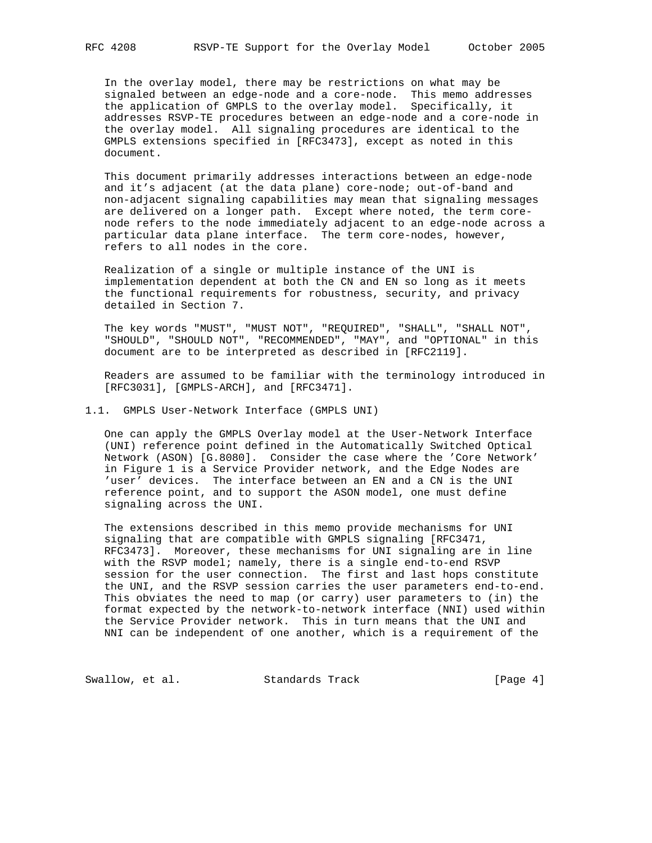In the overlay model, there may be restrictions on what may be signaled between an edge-node and a core-node. This memo addresses the application of GMPLS to the overlay model. Specifically, it addresses RSVP-TE procedures between an edge-node and a core-node in the overlay model. All signaling procedures are identical to the GMPLS extensions specified in [RFC3473], except as noted in this document.

 This document primarily addresses interactions between an edge-node and it's adjacent (at the data plane) core-node; out-of-band and non-adjacent signaling capabilities may mean that signaling messages are delivered on a longer path. Except where noted, the term core node refers to the node immediately adjacent to an edge-node across a particular data plane interface. The term core-nodes, however, refers to all nodes in the core.

 Realization of a single or multiple instance of the UNI is implementation dependent at both the CN and EN so long as it meets the functional requirements for robustness, security, and privacy detailed in Section 7.

 The key words "MUST", "MUST NOT", "REQUIRED", "SHALL", "SHALL NOT", "SHOULD", "SHOULD NOT", "RECOMMENDED", "MAY", and "OPTIONAL" in this document are to be interpreted as described in [RFC2119].

 Readers are assumed to be familiar with the terminology introduced in [RFC3031], [GMPLS-ARCH], and [RFC3471].

1.1. GMPLS User-Network Interface (GMPLS UNI)

 One can apply the GMPLS Overlay model at the User-Network Interface (UNI) reference point defined in the Automatically Switched Optical Network (ASON) [G.8080]. Consider the case where the 'Core Network' in Figure 1 is a Service Provider network, and the Edge Nodes are 'user' devices. The interface between an EN and a CN is the UNI reference point, and to support the ASON model, one must define signaling across the UNI.

 The extensions described in this memo provide mechanisms for UNI signaling that are compatible with GMPLS signaling [RFC3471, RFC3473]. Moreover, these mechanisms for UNI signaling are in line with the RSVP model; namely, there is a single end-to-end RSVP session for the user connection. The first and last hops constitute the UNI, and the RSVP session carries the user parameters end-to-end. This obviates the need to map (or carry) user parameters to (in) the format expected by the network-to-network interface (NNI) used within the Service Provider network. This in turn means that the UNI and NNI can be independent of one another, which is a requirement of the

Swallow, et al. Standards Track [Page 4]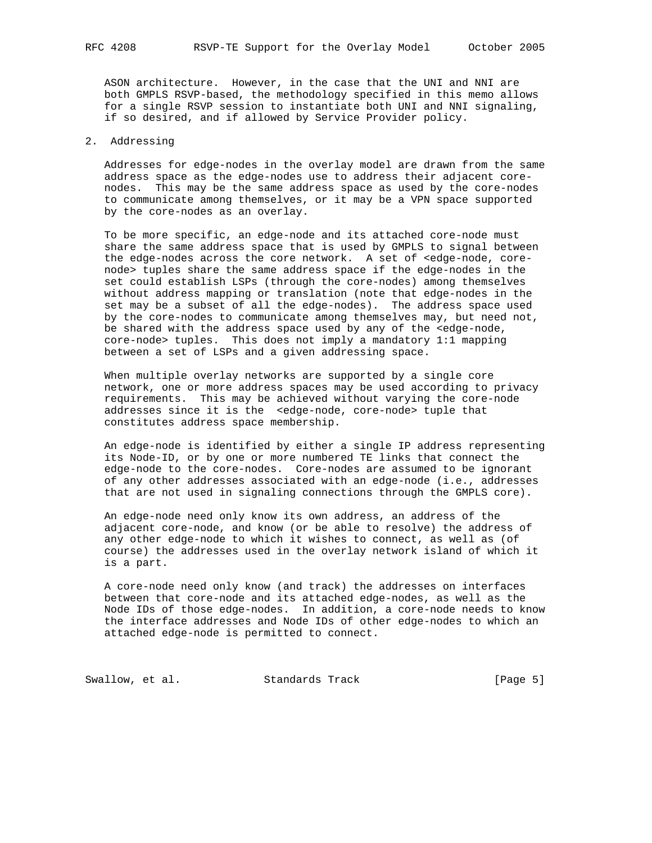ASON architecture. However, in the case that the UNI and NNI are both GMPLS RSVP-based, the methodology specified in this memo allows for a single RSVP session to instantiate both UNI and NNI signaling, if so desired, and if allowed by Service Provider policy.

#### 2. Addressing

 Addresses for edge-nodes in the overlay model are drawn from the same address space as the edge-nodes use to address their adjacent core nodes. This may be the same address space as used by the core-nodes to communicate among themselves, or it may be a VPN space supported by the core-nodes as an overlay.

 To be more specific, an edge-node and its attached core-node must share the same address space that is used by GMPLS to signal between the edge-nodes across the core network. A set of <edge-node, core node> tuples share the same address space if the edge-nodes in the set could establish LSPs (through the core-nodes) among themselves without address mapping or translation (note that edge-nodes in the set may be a subset of all the edge-nodes). The address space used by the core-nodes to communicate among themselves may, but need not, be shared with the address space used by any of the <edge-node, core-node> tuples. This does not imply a mandatory 1:1 mapping between a set of LSPs and a given addressing space.

 When multiple overlay networks are supported by a single core network, one or more address spaces may be used according to privacy requirements. This may be achieved without varying the core-node addresses since it is the <edge-node, core-node> tuple that constitutes address space membership.

 An edge-node is identified by either a single IP address representing its Node-ID, or by one or more numbered TE links that connect the edge-node to the core-nodes. Core-nodes are assumed to be ignorant of any other addresses associated with an edge-node (i.e., addresses that are not used in signaling connections through the GMPLS core).

 An edge-node need only know its own address, an address of the adjacent core-node, and know (or be able to resolve) the address of any other edge-node to which it wishes to connect, as well as (of course) the addresses used in the overlay network island of which it is a part.

 A core-node need only know (and track) the addresses on interfaces between that core-node and its attached edge-nodes, as well as the Node IDs of those edge-nodes. In addition, a core-node needs to know the interface addresses and Node IDs of other edge-nodes to which an attached edge-node is permitted to connect.

Swallow, et al. Standards Track [Page 5]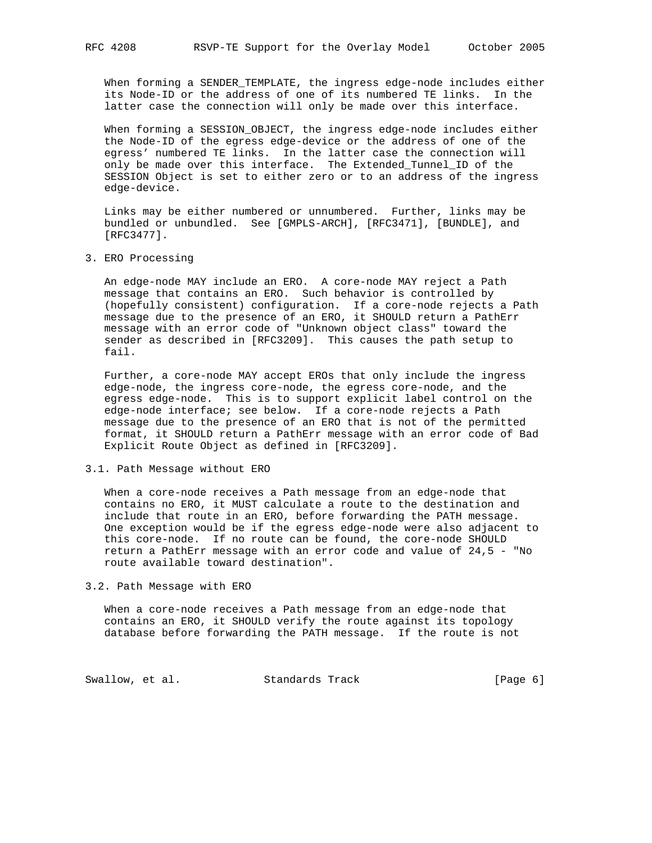When forming a SENDER\_TEMPLATE, the ingress edge-node includes either its Node-ID or the address of one of its numbered TE links. In the latter case the connection will only be made over this interface.

 When forming a SESSION\_OBJECT, the ingress edge-node includes either the Node-ID of the egress edge-device or the address of one of the egress' numbered TE links. In the latter case the connection will only be made over this interface. The Extended\_Tunnel\_ID of the SESSION Object is set to either zero or to an address of the ingress edge-device.

 Links may be either numbered or unnumbered. Further, links may be bundled or unbundled. See [GMPLS-ARCH], [RFC3471], [BUNDLE], and [RFC3477].

3. ERO Processing

 An edge-node MAY include an ERO. A core-node MAY reject a Path message that contains an ERO. Such behavior is controlled by (hopefully consistent) configuration. If a core-node rejects a Path message due to the presence of an ERO, it SHOULD return a PathErr message with an error code of "Unknown object class" toward the sender as described in [RFC3209]. This causes the path setup to fail.

 Further, a core-node MAY accept EROs that only include the ingress edge-node, the ingress core-node, the egress core-node, and the egress edge-node. This is to support explicit label control on the edge-node interface; see below. If a core-node rejects a Path message due to the presence of an ERO that is not of the permitted format, it SHOULD return a PathErr message with an error code of Bad Explicit Route Object as defined in [RFC3209].

### 3.1. Path Message without ERO

 When a core-node receives a Path message from an edge-node that contains no ERO, it MUST calculate a route to the destination and include that route in an ERO, before forwarding the PATH message. One exception would be if the egress edge-node were also adjacent to this core-node. If no route can be found, the core-node SHOULD return a PathErr message with an error code and value of 24,5 - "No route available toward destination".

3.2. Path Message with ERO

 When a core-node receives a Path message from an edge-node that contains an ERO, it SHOULD verify the route against its topology database before forwarding the PATH message. If the route is not

Swallow, et al. Standards Track [Page 6]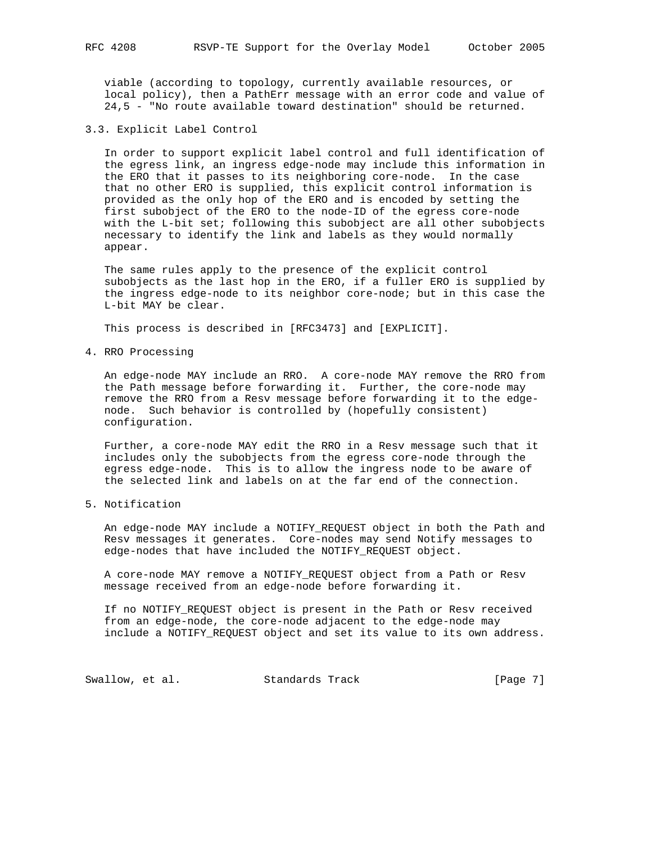viable (according to topology, currently available resources, or local policy), then a PathErr message with an error code and value of 24,5 - "No route available toward destination" should be returned.

3.3. Explicit Label Control

 In order to support explicit label control and full identification of the egress link, an ingress edge-node may include this information in the ERO that it passes to its neighboring core-node. In the case that no other ERO is supplied, this explicit control information is provided as the only hop of the ERO and is encoded by setting the first subobject of the ERO to the node-ID of the egress core-node with the L-bit set; following this subobject are all other subobjects necessary to identify the link and labels as they would normally appear.

 The same rules apply to the presence of the explicit control subobjects as the last hop in the ERO, if a fuller ERO is supplied by the ingress edge-node to its neighbor core-node; but in this case the L-bit MAY be clear.

This process is described in [RFC3473] and [EXPLICIT].

4. RRO Processing

 An edge-node MAY include an RRO. A core-node MAY remove the RRO from the Path message before forwarding it. Further, the core-node may remove the RRO from a Resv message before forwarding it to the edge node. Such behavior is controlled by (hopefully consistent) configuration.

 Further, a core-node MAY edit the RRO in a Resv message such that it includes only the subobjects from the egress core-node through the egress edge-node. This is to allow the ingress node to be aware of the selected link and labels on at the far end of the connection.

5. Notification

 An edge-node MAY include a NOTIFY\_REQUEST object in both the Path and Resv messages it generates. Core-nodes may send Notify messages to edge-nodes that have included the NOTIFY\_REQUEST object.

 A core-node MAY remove a NOTIFY\_REQUEST object from a Path or Resv message received from an edge-node before forwarding it.

 If no NOTIFY\_REQUEST object is present in the Path or Resv received from an edge-node, the core-node adjacent to the edge-node may include a NOTIFY\_REQUEST object and set its value to its own address.

Swallow, et al. Standards Track [Page 7]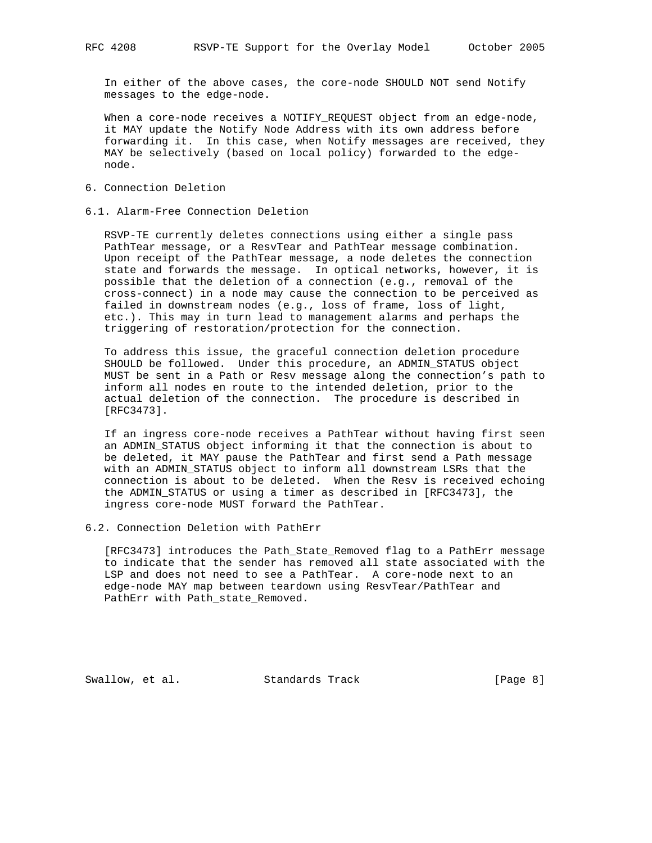In either of the above cases, the core-node SHOULD NOT send Notify messages to the edge-node.

 When a core-node receives a NOTIFY\_REQUEST object from an edge-node, it MAY update the Notify Node Address with its own address before forwarding it. In this case, when Notify messages are received, they MAY be selectively (based on local policy) forwarded to the edge node.

- 6. Connection Deletion
- 6.1. Alarm-Free Connection Deletion

 RSVP-TE currently deletes connections using either a single pass PathTear message, or a ResvTear and PathTear message combination. Upon receipt of the PathTear message, a node deletes the connection state and forwards the message. In optical networks, however, it is possible that the deletion of a connection (e.g., removal of the cross-connect) in a node may cause the connection to be perceived as failed in downstream nodes (e.g., loss of frame, loss of light, etc.). This may in turn lead to management alarms and perhaps the triggering of restoration/protection for the connection.

 To address this issue, the graceful connection deletion procedure SHOULD be followed. Under this procedure, an ADMIN\_STATUS object MUST be sent in a Path or Resv message along the connection's path to inform all nodes en route to the intended deletion, prior to the actual deletion of the connection. The procedure is described in [RFC3473].

 If an ingress core-node receives a PathTear without having first seen an ADMIN\_STATUS object informing it that the connection is about to be deleted, it MAY pause the PathTear and first send a Path message with an ADMIN\_STATUS object to inform all downstream LSRs that the connection is about to be deleted. When the Resv is received echoing the ADMIN\_STATUS or using a timer as described in [RFC3473], the ingress core-node MUST forward the PathTear.

6.2. Connection Deletion with PathErr

 [RFC3473] introduces the Path\_State\_Removed flag to a PathErr message to indicate that the sender has removed all state associated with the LSP and does not need to see a PathTear. A core-node next to an edge-node MAY map between teardown using ResvTear/PathTear and PathErr with Path\_state\_Removed.

Swallow, et al. Standards Track [Page 8]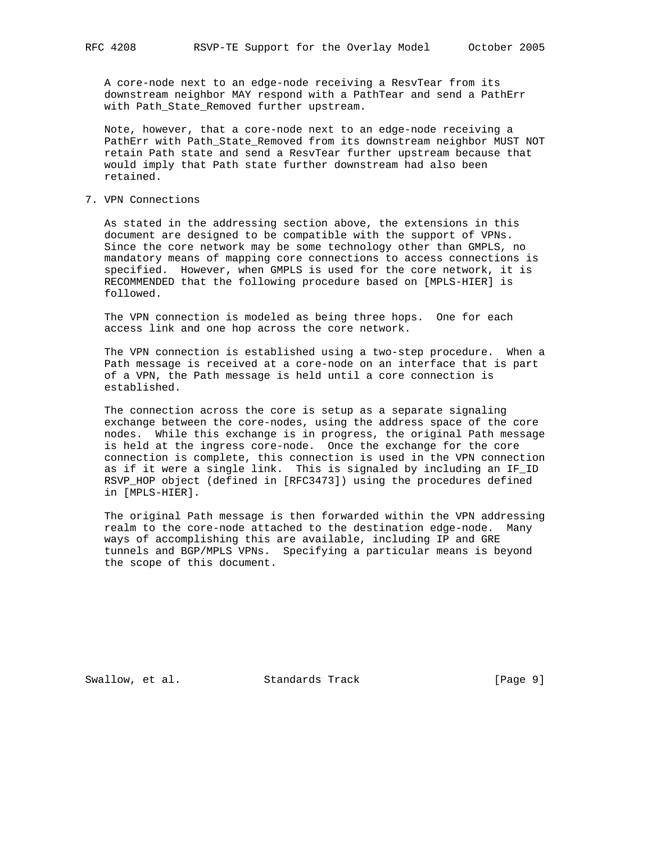A core-node next to an edge-node receiving a ResvTear from its downstream neighbor MAY respond with a PathTear and send a PathErr with Path\_State\_Removed further upstream.

 Note, however, that a core-node next to an edge-node receiving a PathErr with Path\_State\_Removed from its downstream neighbor MUST NOT retain Path state and send a ResvTear further upstream because that would imply that Path state further downstream had also been retained.

## 7. VPN Connections

 As stated in the addressing section above, the extensions in this document are designed to be compatible with the support of VPNs. Since the core network may be some technology other than GMPLS, no mandatory means of mapping core connections to access connections is specified. However, when GMPLS is used for the core network, it is RECOMMENDED that the following procedure based on [MPLS-HIER] is followed.

 The VPN connection is modeled as being three hops. One for each access link and one hop across the core network.

 The VPN connection is established using a two-step procedure. When a Path message is received at a core-node on an interface that is part of a VPN, the Path message is held until a core connection is established.

 The connection across the core is setup as a separate signaling exchange between the core-nodes, using the address space of the core nodes. While this exchange is in progress, the original Path message is held at the ingress core-node. Once the exchange for the core connection is complete, this connection is used in the VPN connection as if it were a single link. This is signaled by including an IF\_ID RSVP\_HOP object (defined in [RFC3473]) using the procedures defined in [MPLS-HIER].

 The original Path message is then forwarded within the VPN addressing realm to the core-node attached to the destination edge-node. Many ways of accomplishing this are available, including IP and GRE tunnels and BGP/MPLS VPNs. Specifying a particular means is beyond the scope of this document.

Swallow, et al. Standards Track [Page 9]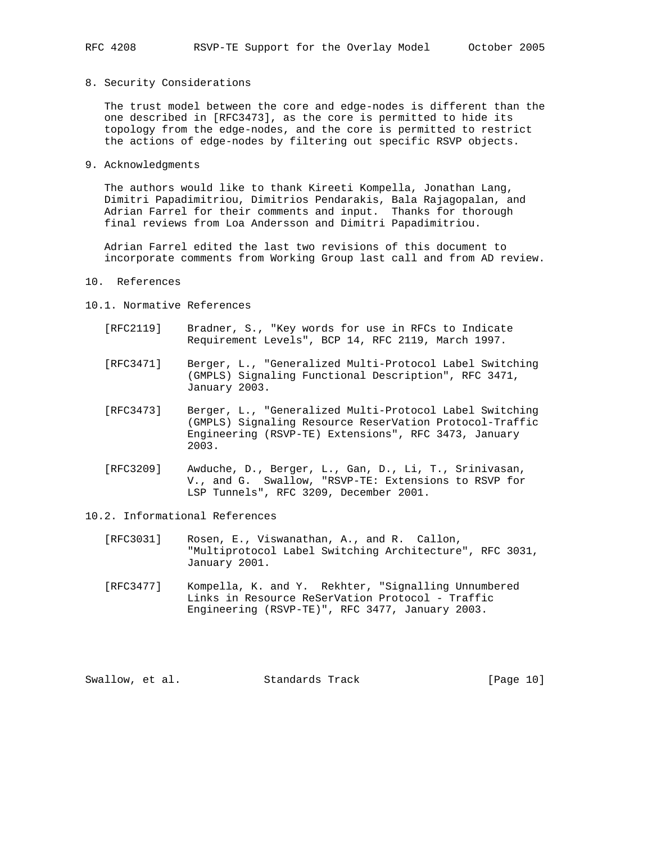8. Security Considerations

 The trust model between the core and edge-nodes is different than the one described in [RFC3473], as the core is permitted to hide its topology from the edge-nodes, and the core is permitted to restrict the actions of edge-nodes by filtering out specific RSVP objects.

9. Acknowledgments

 The authors would like to thank Kireeti Kompella, Jonathan Lang, Dimitri Papadimitriou, Dimitrios Pendarakis, Bala Rajagopalan, and Adrian Farrel for their comments and input. Thanks for thorough final reviews from Loa Andersson and Dimitri Papadimitriou.

 Adrian Farrel edited the last two revisions of this document to incorporate comments from Working Group last call and from AD review.

- 10. References
- 10.1. Normative References
	- [RFC2119] Bradner, S., "Key words for use in RFCs to Indicate Requirement Levels", BCP 14, RFC 2119, March 1997.
	- [RFC3471] Berger, L., "Generalized Multi-Protocol Label Switching (GMPLS) Signaling Functional Description", RFC 3471, January 2003.
	- [RFC3473] Berger, L., "Generalized Multi-Protocol Label Switching (GMPLS) Signaling Resource ReserVation Protocol-Traffic Engineering (RSVP-TE) Extensions", RFC 3473, January 2003.
	- [RFC3209] Awduche, D., Berger, L., Gan, D., Li, T., Srinivasan, V., and G. Swallow, "RSVP-TE: Extensions to RSVP for LSP Tunnels", RFC 3209, December 2001.
- 10.2. Informational References
	- [RFC3031] Rosen, E., Viswanathan, A., and R. Callon, "Multiprotocol Label Switching Architecture", RFC 3031, January 2001.
	- [RFC3477] Kompella, K. and Y. Rekhter, "Signalling Unnumbered Links in Resource ReSerVation Protocol - Traffic Engineering (RSVP-TE)", RFC 3477, January 2003.

Swallow, et al. Standards Track [Page 10]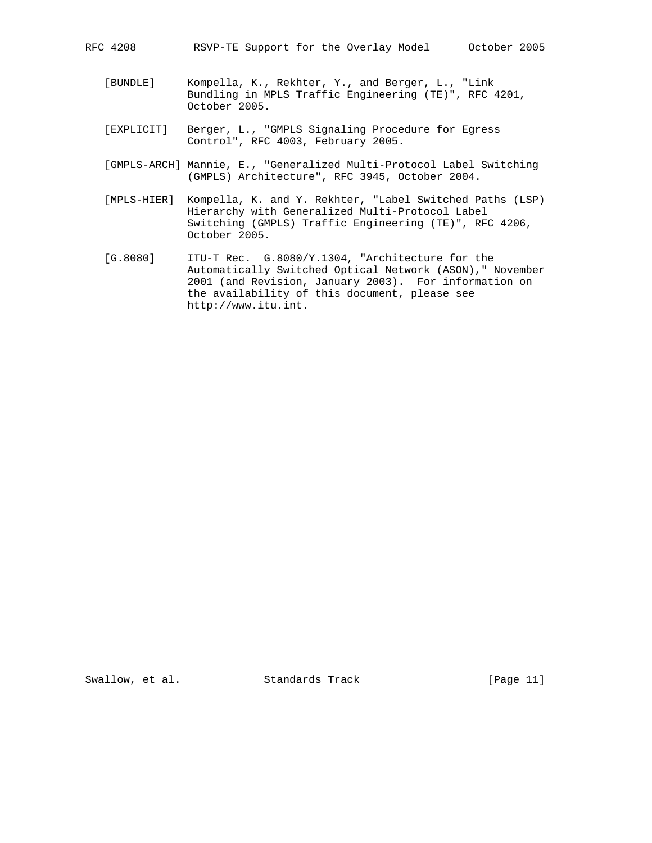- [BUNDLE] Kompella, K., Rekhter, Y., and Berger, L., "Link Bundling in MPLS Traffic Engineering (TE)", RFC 4201, October 2005.
- [EXPLICIT] Berger, L., "GMPLS Signaling Procedure for Egress Control", RFC 4003, February 2005.
- [GMPLS-ARCH] Mannie, E., "Generalized Multi-Protocol Label Switching (GMPLS) Architecture", RFC 3945, October 2004.
- [MPLS-HIER] Kompella, K. and Y. Rekhter, "Label Switched Paths (LSP) Hierarchy with Generalized Multi-Protocol Label Switching (GMPLS) Traffic Engineering (TE)", RFC 4206, October 2005.
- [G.8080] ITU-T Rec. G.8080/Y.1304, "Architecture for the Automatically Switched Optical Network (ASON)," November 2001 (and Revision, January 2003). For information on the availability of this document, please see http://www.itu.int.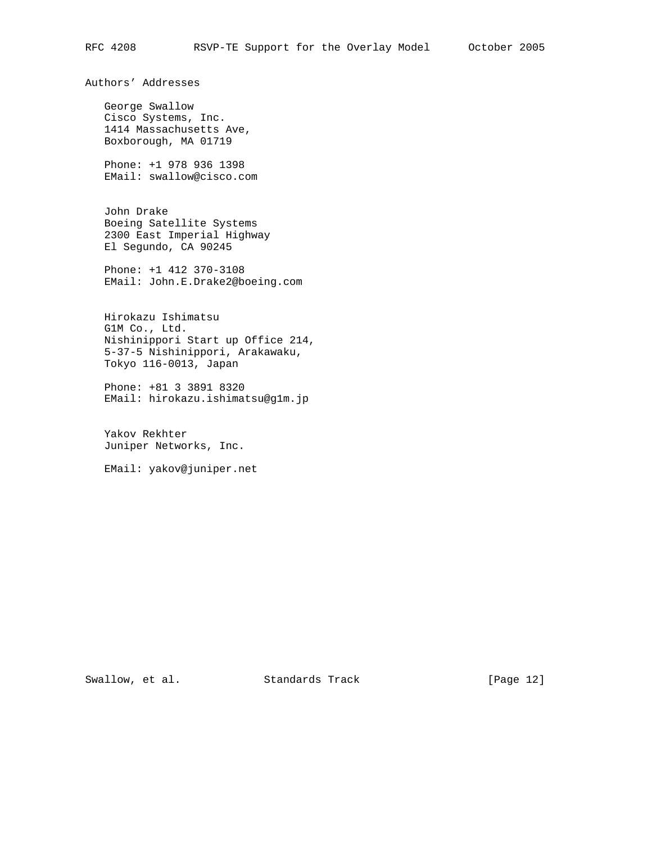Authors' Addresses

 George Swallow Cisco Systems, Inc. 1414 Massachusetts Ave, Boxborough, MA 01719

 Phone: +1 978 936 1398 EMail: swallow@cisco.com

 John Drake Boeing Satellite Systems 2300 East Imperial Highway El Segundo, CA 90245

 Phone: +1 412 370-3108 EMail: John.E.Drake2@boeing.com

 Hirokazu Ishimatsu G1M Co., Ltd. Nishinippori Start up Office 214, 5-37-5 Nishinippori, Arakawaku, Tokyo 116-0013, Japan

 Phone: +81 3 3891 8320 EMail: hirokazu.ishimatsu@g1m.jp

 Yakov Rekhter Juniper Networks, Inc.

EMail: yakov@juniper.net

Swallow, et al. Standards Track [Page 12]